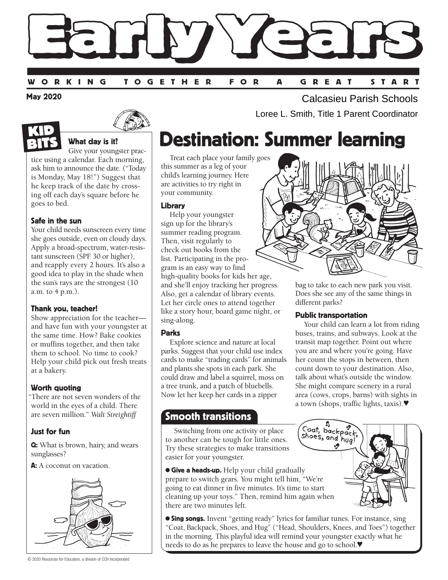

May 2020





## What day is it?

Give your youngster practice using a calendar. Each morning, ask him to announce the date. ("Today is Monday, May 18!") Suggest that he keep track of the date by crossing off each day's square before he goes to bed.

## Safe in the sun

Your child needs sunscreen every time she goes outside, even on cloudy days. Apply a broad-spectrum, water-resistant sunscreen (SPF 30 or higher), and reapply every 2 hours. It's also a good idea to play in the shade when the sun's rays are the strongest (10 a.m. to 4 p.m.).

## Thank you, teacher!

Show appreciation for the teacher and have fun with your youngster at the same time. How? Bake cookies or muffins together, and then take them to school. No time to cook? Help your child pick out fresh treats at a bakery.

## Worth quoting

"There are not seven wonders of the world in the eyes of a child. There are seven million." *Walt Streightiff*

## Just for fun

Q: What is brown, hairy, and wears sunglasses?

A: A coconut on vacation.



© 2020 Resources for Educators, a division of CCH Incorporated

Calcasieu Parish Schools Loree L. Smith, Title 1 Parent Coordinator

# Destination: Summer learning

Treat each place your family goes this summer as a leg of your child's learning journey. Here are activities to try right in your community.

#### Library

Help your youngster sign up for the library's summer reading program. Then, visit regularly to check out books from the list. Participating in the program is an easy way to find high-quality books for kids her age, and she'll enjoy tracking her progress. Also, get a calendar of library events. Let her circle ones to attend together like a story hour, board game night, or sing-along.

## Parks

Explore science and nature at local parks. Suggest that your child use index cards to make "trading cards" for animals and plants she spots in each park. She could draw and label a squirrel, moss on a tree trunk, and a patch of bluebells. Now let her keep her cards in a zipper

## Smooth transitions

Switching from one activity or place to another can be tough for little ones. Try these strategies to make transitions easier for your youngster.

**Give a heads-up.** Help your child gradually prepare to switch gears. You might tell him, "We're going to eat dinner in five minutes. It's time to start cleaning up your toys." Then, remind him again when there are two minutes left.

**Sing songs.** Invent "getting ready" lyrics for familiar tunes. For instance, sing "Coat, Backpack, Shoes, and Hug" ("Head, Shoulders, Knees, and Toes") together in the morning. This playful idea will remind your youngster exactly what he needs to do as he prepares to leave the house and go to school.♥



bag to take to each new park you visit. Does she see any of the same things in different parks?

## Public transportation

Your child can learn a lot from riding buses, trains, and subways. Look at the transit map together. Point out where you are and where you're going. Have her count the stops in between, then count down to your destination. Also, talk about what's outside the window. She might compare scenery in a rural area (cows, crops, barns) with sights in a town (shops, traffic lights, taxis).♥